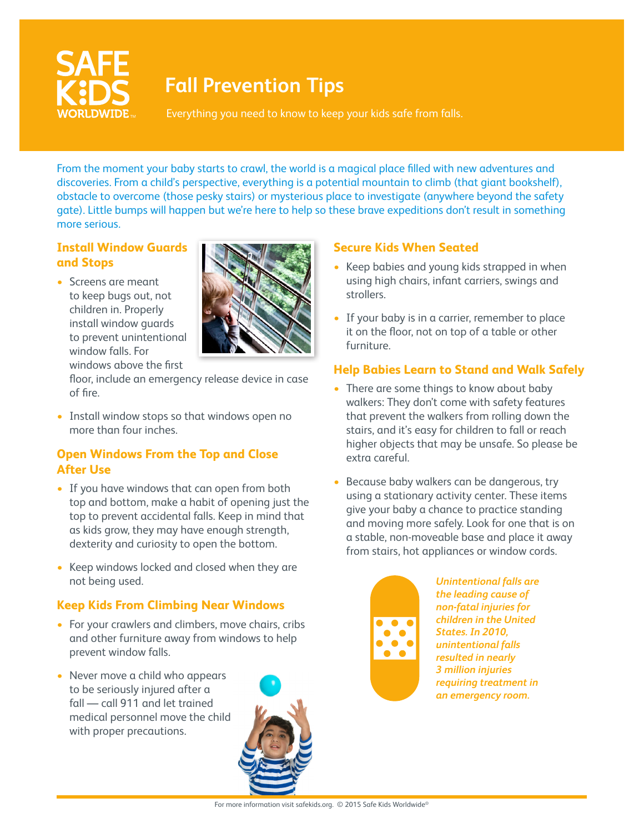

# **Fall Prevention Tips**

Everything you need to know to keep your kids safe from falls.

From the moment your baby starts to crawl, the world is a magical place filled with new adventures and discoveries. From a child's perspective, everything is a potential mountain to climb (that giant bookshelf), obstacle to overcome (those pesky stairs) or mysterious place to investigate (anywhere beyond the safety gate). Little bumps will happen but we're here to help so these brave expeditions don't result in something more serious.

# **Install Window Guards and Stops**

• Screens are meant to keep bugs out, not children in. Properly install window guards to prevent unintentional window falls. For windows above the first



floor, include an emergency release device in case of fire.

• Install window stops so that windows open no more than four inches.

## **Open Windows From the Top and Close After Use**

- If you have windows that can open from both top and bottom, make a habit of opening just the top to prevent accidental falls. Keep in mind that as kids grow, they may have enough strength, dexterity and curiosity to open the bottom.
- Keep windows locked and closed when they are not being used.

## **Keep Kids From Climbing Near Windows**

- For your crawlers and climbers, move chairs, cribs and other furniture away from windows to help prevent window falls.
- Never move a child who appears to be seriously injured after a fall — call 911 and let trained medical personnel move the child with proper precautions.



#### **Secure Kids When Seated**

- Keep babies and young kids strapped in when using high chairs, infant carriers, swings and strollers.
- If your baby is in a carrier, remember to place it on the floor, not on top of a table or other furniture.

## **Help Babies Learn to Stand and Walk Safely**

- There are some things to know about baby walkers: They don't come with safety features that prevent the walkers from rolling down the stairs, and it's easy for children to fall or reach higher objects that may be unsafe. So please be extra careful.
- Because baby walkers can be dangerous, try using a stationary activity center. These items give your baby a chance to practice standing and moving more safely. Look for one that is on a stable, non-moveable base and place it away from stairs, hot appliances or window cords.



*Unintentional falls are the leading cause of non-fatal injuries for children in the United States. In 2010, unintentional falls resulted in nearly 3 million injuries requiring treatment in an emergency room.*